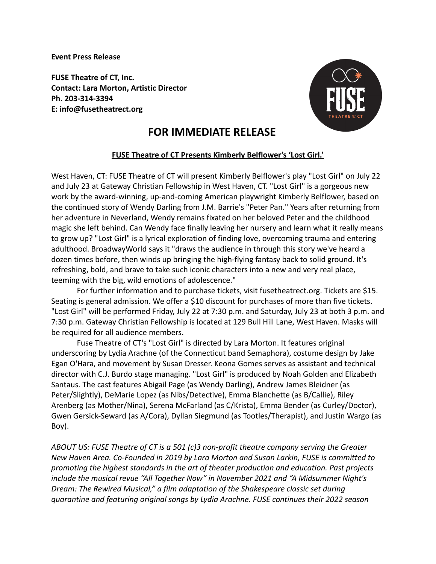**Event Press Release**

**FUSE Theatre of CT, Inc. Contact: Lara Morton, Artistic Director Ph. 203-314-3394 E: info@fusetheatrect.org**



## **FOR IMMEDIATE RELEASE**

## **FUSE Theatre of CT Presents Kimberly Belflower's 'Lost Girl.'**

West Haven, CT: FUSE Theatre of CT will present Kimberly Belflower's play "Lost Girl" on July 22 and July 23 at Gateway Christian Fellowship in West Haven, CT. "Lost Girl" is a gorgeous new work by the award-winning, up-and-coming American playwright Kimberly Belflower, based on the continued story of Wendy Darling from J.M. Barrie's "Peter Pan." Years after returning from her adventure in Neverland, Wendy remains fixated on her beloved Peter and the childhood magic she left behind. Can Wendy face finally leaving her nursery and learn what it really means to grow up? "Lost Girl" is a lyrical exploration of finding love, overcoming trauma and entering adulthood. BroadwayWorld says it "draws the audience in through this story we've heard a dozen times before, then winds up bringing the high-flying fantasy back to solid ground. It's refreshing, bold, and brave to take such iconic characters into a new and very real place, teeming with the big, wild emotions of adolescence."

For further information and to purchase tickets, visit fusetheatrect.org. Tickets are \$15. Seating is general admission. We offer a \$10 discount for purchases of more than five tickets. "Lost Girl" will be performed Friday, July 22 at 7:30 p.m. and Saturday, July 23 at both 3 p.m. and 7:30 p.m. Gateway Christian Fellowship is located at 129 Bull Hill Lane, West Haven. Masks will be required for all audience members.

Fuse Theatre of CT's "Lost Girl" is directed by Lara Morton. It features original underscoring by Lydia Arachne (of the Connecticut band Semaphora), costume design by Jake Egan O'Hara, and movement by Susan Dresser. Keona Gomes serves as assistant and technical director with C.J. Burdo stage managing. "Lost Girl" is produced by Noah Golden and Elizabeth Santaus. The cast features Abigail Page (as Wendy Darling), Andrew James Bleidner (as Peter/Slightly), DeMarie Lopez (as Nibs/Detective), Emma Blanchette (as B/Callie), Riley Arenberg (as Mother/Nina), Serena McFarland (as C/Krista), Emma Bender (as Curley/Doctor), Gwen Gersick-Seward (as A/Cora), Dyllan Siegmund (as Tootles/Therapist), and Justin Wargo (as Boy).

*ABOUT US: FUSE Theatre of CT is a 501 (c)3 non-profit theatre company serving the Greater New Haven Area. Co-Founded in 2019 by Lara Morton and Susan Larkin, FUSE is committed to promoting the highest standards in the art of theater production and education. Past projects include the musical revue "All Together Now" in November 2021 and "A Midsummer Night's Dream: The Rewired Musical," a film adaptation of the Shakespeare classic set during quarantine and featuring original songs by Lydia Arachne. FUSE continues their 2022 season*